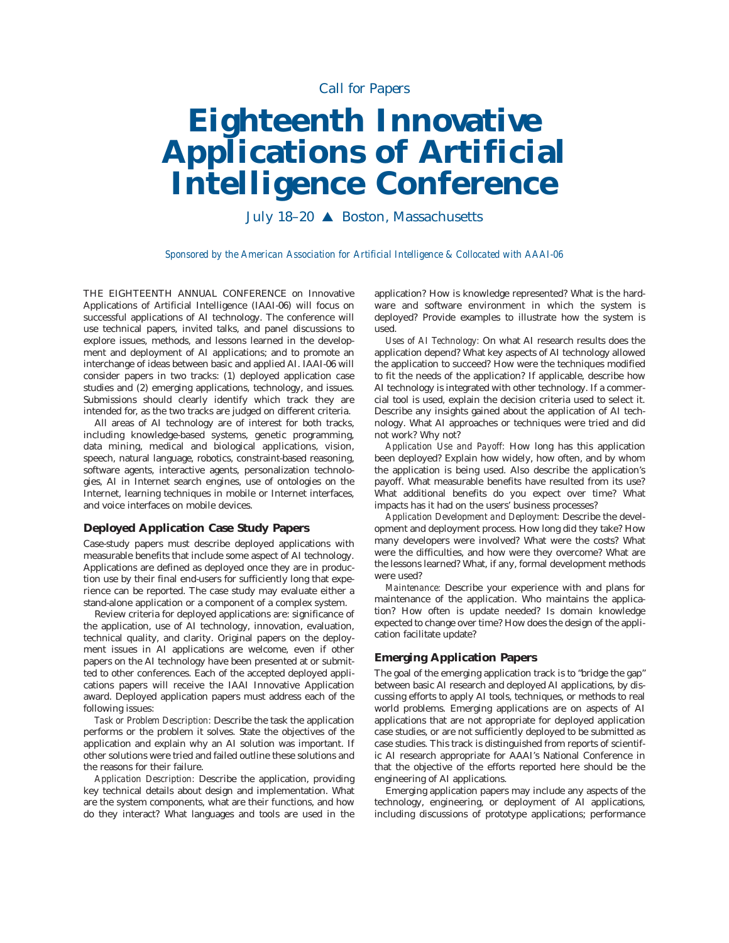# *Call for Papers*

# **Eighteenth Innovative Applications of Artificial Intelligence Conference**

July 18–20 ▲ Boston, Massachusetts

*Sponsored by the American Association for Artificial Intelligence & Collocated with AAAI-06*

THE EIGHTEENTH ANNUAL CONFERENCE on Innovative Applications of Artificial Intelligence (IAAI-06) will focus on successful applications of AI technology. The conference will use technical papers, invited talks, and panel discussions to explore issues, methods, and lessons learned in the development and deployment of AI applications; and to promote an interchange of ideas between basic and applied AI. IAAI-06 will consider papers in two tracks: (1) deployed application case studies and (2) emerging applications, technology, and issues. Submissions should clearly identify which track they are intended for, as the two tracks are judged on different criteria.

All areas of AI technology are of interest for both tracks, including knowledge-based systems, genetic programming, data mining, medical and biological applications, vision, speech, natural language, robotics, constraint-based reasoning, software agents, interactive agents, personalization technologies, AI in Internet search engines, use of ontologies on the Internet, learning techniques in mobile or Internet interfaces, and voice interfaces on mobile devices.

## **Deployed Application Case Study Papers**

Case-study papers must describe deployed applications with measurable benefits that include some aspect of AI technology. Applications are defined as deployed once they are in production use by their final end-users for sufficiently long that experience can be reported. The case study may evaluate either a stand-alone application or a component of a complex system.

Review criteria for deployed applications are: significance of the application, use of AI technology, innovation, evaluation, technical quality, and clarity. Original papers on the deployment issues in AI applications are welcome, even if other papers on the AI technology have been presented at or submitted to other conferences. Each of the accepted deployed applications papers will receive the IAAI Innovative Application award. Deployed application papers must address each of the following issues:

*Task or Problem Description:* Describe the task the application performs or the problem it solves. State the objectives of the application and explain why an AI solution was important. If other solutions were tried and failed outline these solutions and the reasons for their failure.

*Application Description:* Describe the application, providing key technical details about design and implementation. What are the system components, what are their functions, and how do they interact? What languages and tools are used in the application? How is knowledge represented? What is the hardware and software environment in which the system is deployed? Provide examples to illustrate how the system is used.

*Uses of AI Technology:* On what AI research results does the application depend? What key aspects of AI technology allowed the application to succeed? How were the techniques modified to fit the needs of the application? If applicable, describe how AI technology is integrated with other technology. If a commercial tool is used, explain the decision criteria used to select it. Describe any insights gained about the application of AI technology. What AI approaches or techniques were tried and did not work? Why not?

*Application Use and Payoff:* How long has this application been deployed? Explain how widely, how often, and by whom the application is being used. Also describe the application's payoff. What measurable benefits have resulted from its use? What additional benefits do you expect over time? What impacts has it had on the users' business processes?

*Application Development and Deployment:* Describe the development and deployment process. How long did they take? How many developers were involved? What were the costs? What were the difficulties, and how were they overcome? What are the lessons learned? What, if any, formal development methods were used?

*Maintenance:* Describe your experience with and plans for maintenance of the application. Who maintains the application? How often is update needed? Is domain knowledge expected to change over time? How does the design of the application facilitate update?

#### **Emerging Application Papers**

The goal of the emerging application track is to "bridge the gap" between basic AI research and deployed AI applications, by discussing efforts to apply AI tools, techniques, or methods to real world problems. Emerging applications are on aspects of AI applications that are not appropriate for deployed application case studies, or are not sufficiently deployed to be submitted as case studies. This track is distinguished from reports of scientific AI research appropriate for AAAI's National Conference in that the objective of the efforts reported here should be the engineering of AI applications.

Emerging application papers may include any aspects of the technology, engineering, or deployment of AI applications, including discussions of prototype applications; performance